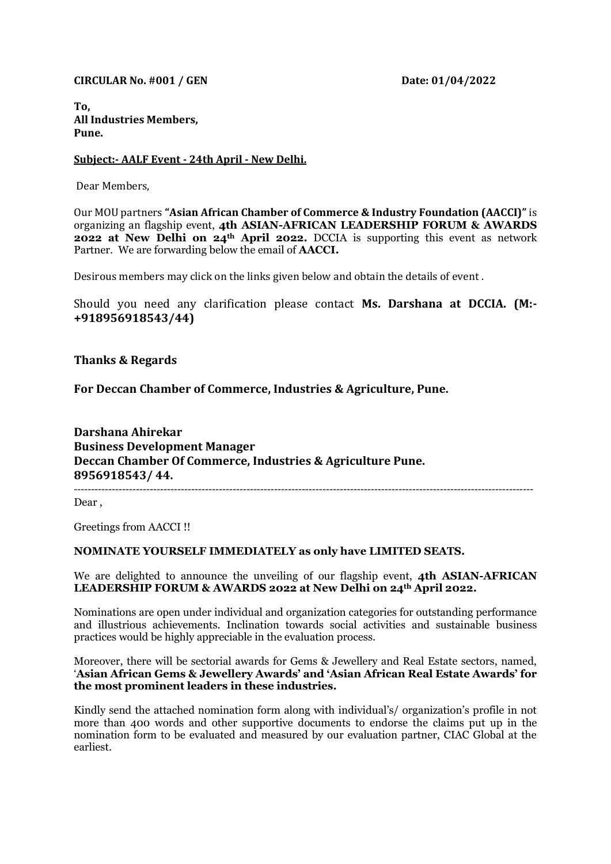**CIRCULAR No. #001 / GEN Date: 01/04/2022** 

**To, All Industries Members, Pune.**

## **Subject:- AALF Event - 24th April - New Delhi.**

Dear Members,

Our MOU partners **"Asian African Chamber of Commerce & Industry Foundation (AACCI)"** is organizing an flagship event, **4th ASIAN-AFRICAN LEADERSHIP FORUM & AWARDS 2022 at New Delhi on 24th April 2022.** DCCIA is supporting this event as network Partner. We are forwarding below the email of **AACCI.** 

Desirous members may click on the links given below and obtain the details of event .

Should you need any clarification please contact **Ms. Darshana at DCCIA. (M:- +918956918543/44)**

**Thanks & Regards**

**For Deccan Chamber of Commerce, Industries & Agriculture, Pune.**

**Darshana Ahirekar Business Development Manager Deccan Chamber Of Commerce, Industries & Agriculture Pune. 8956918543/ 44.** -------------------------------------------------------------------------------------------------------------------------------------

Dear ,

Greetings from AACCI !!

## **NOMINATE YOURSELF IMMEDIATELY as only have LIMITED SEATS.**

We are delighted to announce the unveiling of our flagship event, **4th ASIAN-AFRICAN LEADERSHIP FORUM & AWARDS 2022 at New Delhi on 24th April 2022.** 

Nominations are open under individual and organization categories for outstanding performance and illustrious achievements. Inclination towards social activities and sustainable business practices would be highly appreciable in the evaluation process.

Moreover, there will be sectorial awards for Gems & Jewellery and Real Estate sectors, named, '**Asian African Gems & Jewellery Awards' and 'Asian African Real Estate Awards' for the most prominent leaders in these industries.**

Kindly send the attached nomination form along with individual's/ organization's profile in not more than 400 words and other supportive documents to endorse the claims put up in the nomination form to be evaluated and measured by our evaluation partner, CIAC Global at the earliest.